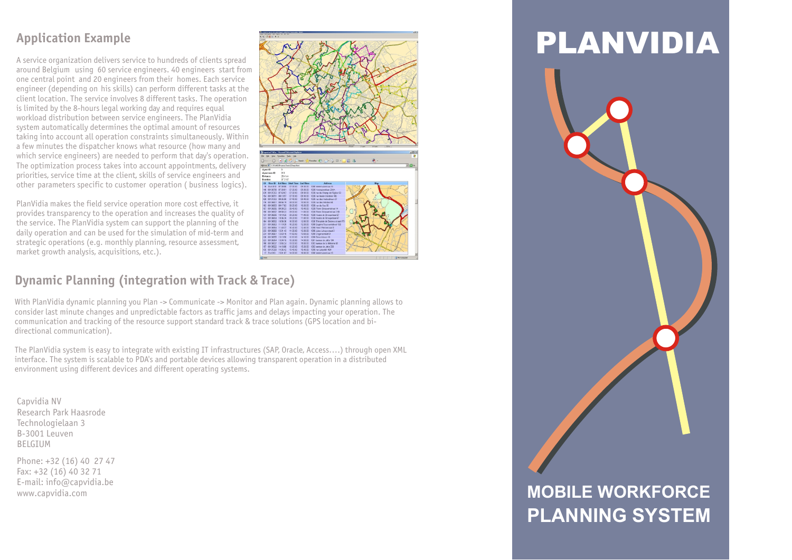## **Application Example**

A service organization delivers service to hundreds of clients spread around Belgium using 60 service engineers. 40 engineers start from one central point and 20 engineers from their homes. Each service engineer (depending on his skills) can perform different tasks at the client location. The service involves 8 different tasks. The operation is limited by the 8-hours legal working day and requires equal workload distribution between service engineers. The PlanVidia system automatically determines the optimal amount of resources taking into account all operation constraints simultaneously. Within a few minutes the dispatcher knows what resource (how many and which service engineers) are needed to perform that day's operation. The optimization process takes into account appointments, delivery priorities, service time at the client, skills of service engineers and other parameters specific to customer operation ( business logics).

PlanVidia makes the field service operation more cost effective, it provides transparency to the operation and increases the quality of the service. The PlanVidia system can support the planning of the daily operation and can be used for the simulation of mid-term and strategic operations (e.g. monthly planning, resource assessment, market growth analysis, acquisitions, etc.).

# **Dynamic Planning (integration with Track & Trace)**

With PlanVidia dynamic planning you Plan -> Communicate -> Monitor and Plan again. Dynamic planning allows to consider last minute changes and unpredictable factors as traffic jams and delays impacting your operation. The communication and tracking of the resource support standard track & trace solutions (GPS location and bidirectional communication).

The PlanVidia system is easy to integrate with existing IT infrastructures (SAP, Oracle, Access….) through open XML interface. The system is scalable to PDA's and portable devices allowing transparent operation in a distributed environment using different devices and different operating systems.

Capvidia NV Research Park Haasrode Technologielaan 3 B-3001 Leuven **BELGIUM** 

Phone: +32 (16) 40 27 47 Fax: +32 (16) 40 32 71 E-mail: info@capvidia.be www.capvidia.com



# **MOBILE WORKFORCE PLANNING SYSTEM**

PLANVIDIA